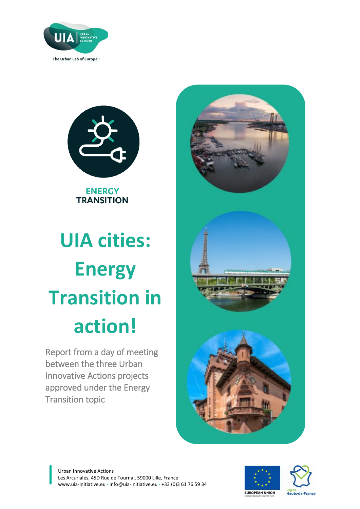



**ENERGY TRANSITION** 

# **UIA cities: Energy Transition in action!**

Report from a day of meeting between the three Urban Innovative Actions projects approved under the Energy Transition topic





Hauts-de-France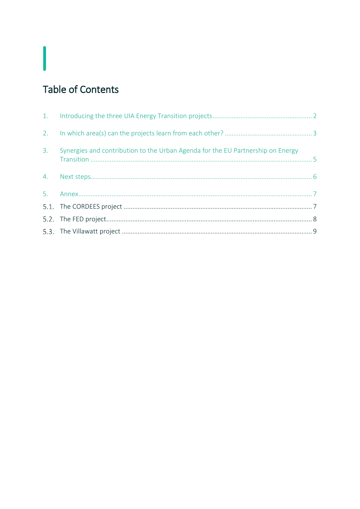# **Table of Contents**

I

| 3. | Synergies and contribution to the Urban Agenda for the EU Partnership on Energy |  |
|----|---------------------------------------------------------------------------------|--|
|    |                                                                                 |  |
|    |                                                                                 |  |
|    |                                                                                 |  |
|    |                                                                                 |  |
|    |                                                                                 |  |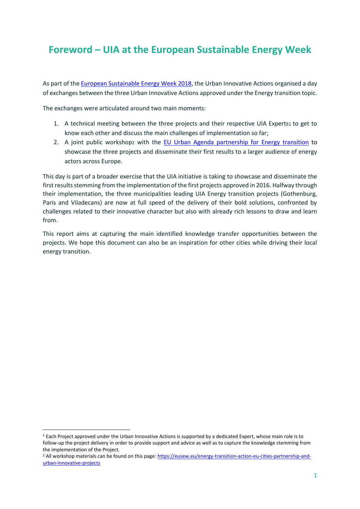# **Foreword – UIA at the European Sustainable Energy Week**

As part of the [European Sustainable Energy Week 2018,](http://www.eusew.eu/) the Urban Innovative Actions organised a day of exchanges between the three Urban Innovative Actions approved under the Energy transition topic.

The exchanges were articulated around two main moments:

- 1. A technical meeting between the three projects and their respective UIA Experts1 to get to know each other and discuss the main challenges of implementation so far;
- 2. A joint public workshop2 with the [EU Urban Agenda partnership for Energy transition](https://ec.europa.eu/futurium/en/energy-transition) to showcase the three projects and disseminate their first results to a larger audience of energy actors across Europe.

This day is part of a broader exercise that the UIA initiative is taking to showcase and disseminate the first results stemming from the implementation of the first projects approved in 2016. Halfway through their implementation, the three municipalities leading UIA Energy transition projects (Gothenburg, Paris and Viladecans) are now at full speed of the delivery of their bold solutions, confronted by challenges related to their innovative character but also with already rich lessons to draw and learn from.

This report aims at capturing the main identified knowledge transfer opportunities between the projects. We hope this document can also be an inspiration for other cities while driving their local energy transition.

 $\ddot{\phantom{a}}$ 

<sup>1</sup> Each Project approved under the Urban Innovative Actions is supported by a dedicated Expert, whose main role is to follow-up the project delivery in order to provide support and advice as well as to capture the knowledge stemming from the implementation of the Project.

<sup>2</sup> All workshop materials can be found on this page: [https://eusew.eu/energy-transition-action-eu-cities-partnership-and](https://eusew.eu/energy-transition-action-eu-cities-partnership-and-urban-innovative-projects)[urban-innovative-projects](https://eusew.eu/energy-transition-action-eu-cities-partnership-and-urban-innovative-projects)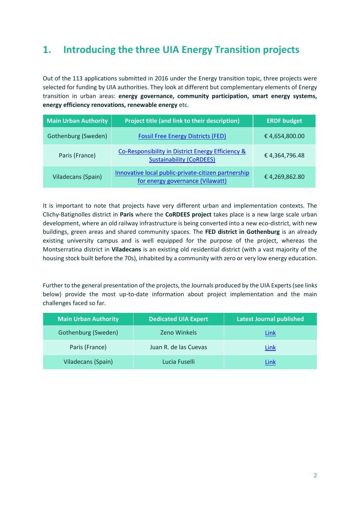# <span id="page-3-0"></span>**1. Introducing the three UIA Energy Transition projects**

Out of the 113 applications submitted in 2016 under the Energy transition topic, three projects were selected for funding by UIA authorities. They look at different but complementary elements of Energy transition in urban areas: **energy governance, community participation, smart energy systems, energy efficiency renovations, renewable energy** etc.

| <b>Main Urban Authority</b> | Project title (and link to their description)                                           | <b>ERDF budget</b> |  |
|-----------------------------|-----------------------------------------------------------------------------------------|--------------------|--|
| Gothenburg (Sweden)         | <b>Fossil Free Energy Districts (FED)</b>                                               | €4,654,800.00      |  |
| Paris (France)              | Co-Responsibility in District Energy Efficiency &<br><b>Sustainability (CoRDEES)</b>    | €4,364,796.48      |  |
| Viladecans (Spain)          | Innovative local public-private-citizen partnership<br>for energy governance (Vilawatt) | €4,269,862.80      |  |

It is important to note that projects have very different urban and implementation contexts. The Clichy-Batignolles district in **Paris** where the **CoRDEES project** takes place is a new large scale urban development, where an old railway infrastructure is being converted into a new eco-district, with new buildings, green areas and shared community spaces. The **FED district in Gothenburg** is an already existing university campus and is well equipped for the purpose of the project, whereas the Montserratina district in **Viladecans** is an existing old residential district (with a vast majority of the housing stock built before the 70s), inhabited by a community with zero or very low energy education.

Further to the general presentation of the projects, the Journals produced by the UIA Experts (see links below) provide the most up-to-date information about project implementation and the main challenges faced so far.

| <b>Main Urban Authority</b> | <b>Dedicated UIA Expert</b> | <b>Latest Journal published</b> |
|-----------------------------|-----------------------------|---------------------------------|
| Gothenburg (Sweden)         | <b>Zeno Winkels</b>         | Link                            |
| Paris (France)              | Juan R. de las Cuevas       | Link                            |
| Viladecans (Spain)          | Lucia Fuselli               | Link                            |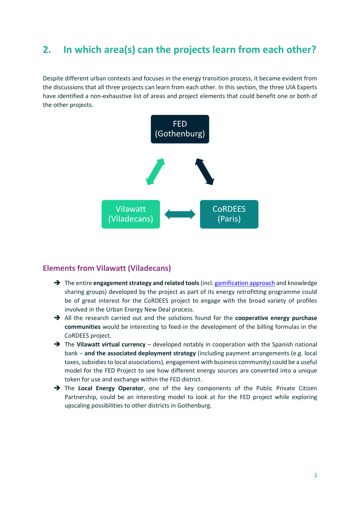## <span id="page-4-0"></span>**2. In which area(s) can the projects learn from each other?**

Despite different urban contexts and focuses in the energy transition process, it became evident from the discussions that all three projects can learn from each other. In this section, the three UIA Experts have identified a non-exhaustive list of areas and project elements that could benefit one or both of the other projects.



## **Elements from Vilawatt (Viladecans)**

- → The entire **engagement strategy and related tools** (incl. [gamification approach](https://www.youtube.com/watch?v=LQyaWymjWLc) and knowledge sharing groups) developed by the project as part of its energy retrofitting programme could be of great interest for the CoRDEES project to engage with the broad variety of profiles involved in the Urban Energy New Deal process.
- All the research carried out and the solutions found for the **cooperative energy purchase communities** would be interesting to feed-in the development of the billing formulas in the CoRDEES project.
- → The Vilawatt virtual currency developed notably in cooperation with the Spanish national bank – **and the associated deployment strategy** (including payment arrangements (e.g. local taxes, subsidies to local associations), engagement with business community) could be a useful model for the FED Project to see how different energy sources are converted into a unique token for use and exchange within the FED district.
- The **Local Energy Operator**, one of the key components of the Public Private Citizen Partnership, could be an interesting model to look at for the FED project while exploring upscaling possibilities to other districts in Gothenburg.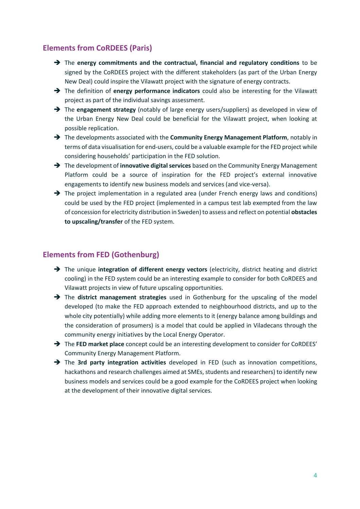## **Elements from CoRDEES (Paris)**

- → The energy commitments and the contractual, financial and regulatory conditions to be signed by the CoRDEES project with the different stakeholders (as part of the Urban Energy New Deal) could inspire the Vilawatt project with the signature of energy contracts.
- The definition of **energy performance indicators** could also be interesting for the Vilawatt project as part of the individual savings assessment.
- → The **engagement strategy** (notably of large energy users/suppliers) as developed in view of the Urban Energy New Deal could be beneficial for the Vilawatt project, when looking at possible replication.
- The developments associated with the **Community Energy Management Platform**, notably in terms of data visualisation for end-users, could be a valuable example for the FED project while considering households' participation in the FED solution.
- → The development of **innovative digital services** based on the Community Energy Management Platform could be a source of inspiration for the FED project's external innovative engagements to identify new business models and services (and vice-versa).
- $\rightarrow$  The project implementation in a regulated area (under French energy laws and conditions) could be used by the FED project (implemented in a campus test lab exempted from the law of concession for electricity distribution in Sweden) to assess and reflect on potential **obstacles to upscaling/transfer** of the FED system.

## **Elements from FED (Gothenburg)**

- → The unique **integration of different energy vectors** (electricity, district heating and district cooling) in the FED system could be an interesting example to consider for both CoRDEES and Vilawatt projects in view of future upscaling opportunities.
- The **district management strategies** used in Gothenburg for the upscaling of the model developed (to make the FED approach extended to neighbourhood districts, and up to the whole city potentially) while adding more elements to it (energy balance among buildings and the consideration of prosumers) is a model that could be applied in Viladecans through the community energy initiatives by the Local Energy Operator.
- → The **FED market place** concept could be an interesting development to consider for CoRDEES' Community Energy Management Platform.
- The **3rd party integration activities** developed in FED (such as innovation competitions, hackathons and research challenges aimed at SMEs, students and researchers) to identify new business models and services could be a good example for the CoRDEES project when looking at the development of their innovative digital services.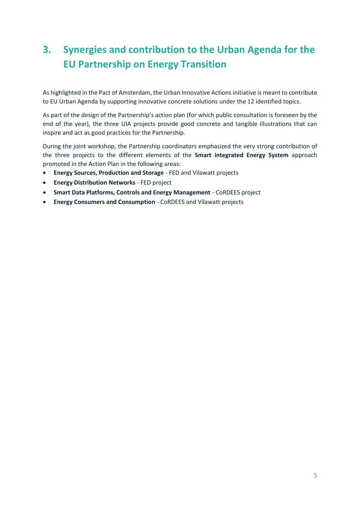# <span id="page-6-0"></span>**3. Synergies and contribution to the Urban Agenda for the EU Partnership on Energy Transition**

As highlighted in the Pact of Amsterdam, the Urban Innovative Actions initiative is meant to contribute to EU Urban Agenda by supporting innovative concrete solutions under the 12 identified topics.

As part of the design of the Partnership's action plan (for which public consultation is foreseen by the end of the year), the three UIA projects provide good concrete and tangible illustrations that can inspire and act as good practices for the Partnership.

During the joint workshop, the Partnership coordinators emphasized the very strong contribution of the three projects to the different elements of the **Smart integrated Energy System** approach promoted in the Action Plan in the following areas:

- **Energy Sources, Production and Storage** FED and Vilawatt projects
- **Energy Distribution Networks** FED project
- **Smart Data Platforms, Controls and Energy Management** CoRDEES project
- **Energy Consumers and Consumption** CoRDEES and Vilawatt projects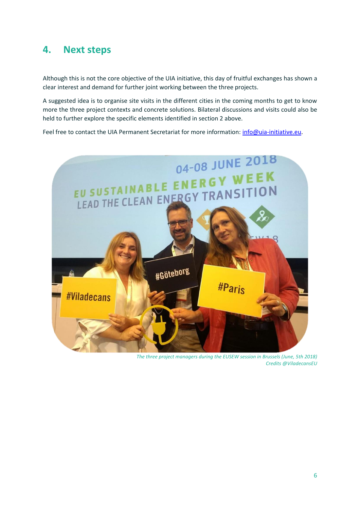## <span id="page-7-0"></span>**4. Next steps**

Although this is not the core objective of the UIA initiative, this day of fruitful exchanges has shown a clear interest and demand for further joint working between the three projects.

A suggested idea is to organise site visits in the different cities in the coming months to get to know more the three project contexts and concrete solutions. Bilateral discussions and visits could also be held to further explore the specific elements identified in section 2 above.

Feel free to contact the UIA Permanent Secretariat for more information: [info@uia-initiative.eu.](mailto:info@uia-initiative.eu)



*The three project managers during the EUSEW session in Brussels (June, 5th 2018) Credits @ViladecansEU*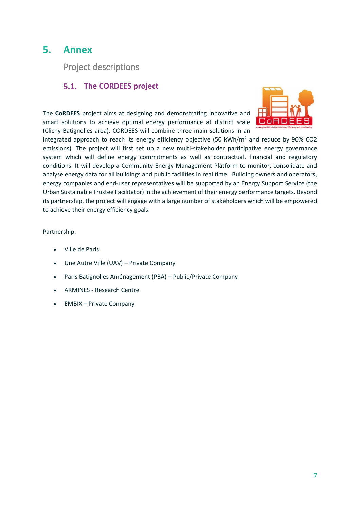## <span id="page-8-0"></span>**5. Annex**

Project descriptions

## <span id="page-8-1"></span>**The CORDEES project**

CoRD

The **CoRDEES** project aims at designing and demonstrating innovative and smart solutions to achieve optimal energy performance at district scale (Clichy-Batignolles area). CORDEES will combine three main solutions in an

integrated approach to reach its energy efficiency objective (50 kWh/m<sup>2</sup> and reduce by 90% CO2 emissions). The project will first set up a new multi-stakeholder participative energy governance system which will define energy commitments as well as contractual, financial and regulatory conditions. It will develop a Community Energy Management Platform to monitor, consolidate and analyse energy data for all buildings and public facilities in real time. Building owners and operators, energy companies and end-user representatives will be supported by an Energy Support Service (the Urban Sustainable Trustee Facilitator) in the achievement of their energy performance targets. Beyond its partnership, the project will engage with a large number of stakeholders which will be empowered to achieve their energy efficiency goals.

### Partnership:

- Ville de Paris
- Une Autre Ville (UAV) Private Company
- Paris Batignolles Aménagement (PBA) Public/Private Company
- ARMINES Research Centre
- EMBIX Private Company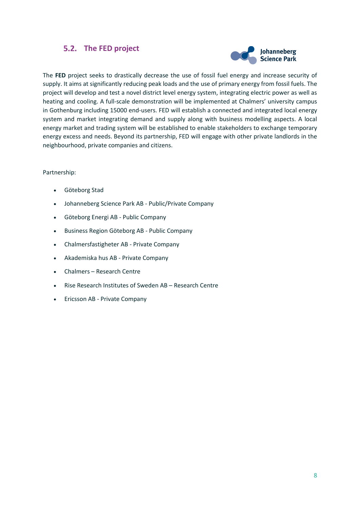## <span id="page-9-0"></span>**The FED project**



The **FED** project seeks to drastically decrease the use of fossil fuel energy and increase security of supply. It aims at significantly reducing peak loads and the use of primary energy from fossil fuels. The project will develop and test a novel district level energy system, integrating electric power as well as heating and cooling. A full-scale demonstration will be implemented at Chalmers' university campus in Gothenburg including 15000 end-users. FED will establish a connected and integrated local energy system and market integrating demand and supply along with business modelling aspects. A local energy market and trading system will be established to enable stakeholders to exchange temporary energy excess and needs. Beyond its partnership, FED will engage with other private landlords in the neighbourhood, private companies and citizens.

#### Partnership:

- Göteborg Stad
- Johanneberg Science Park AB Public/Private Company
- Göteborg Energi AB Public Company
- Business Region Göteborg AB Public Company
- Chalmersfastigheter AB Private Company
- Akademiska hus AB Private Company
- Chalmers Research Centre
- Rise Research Institutes of Sweden AB Research Centre
- Ericsson AB Private Company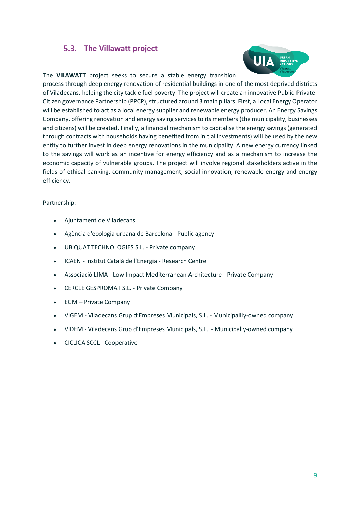## <span id="page-10-0"></span>**The Villawatt project**



The **VILAWATT** project seeks to secure a stable energy transition

process through deep energy renovation of residential buildings in one of the most deprived districts of Viladecans, helping the city tackle fuel poverty. The project will create an innovative Public-Private-Citizen governance Partnership (PPCP), structured around 3 main pillars. First, a Local Energy Operator will be established to act as a local energy supplier and renewable energy producer. An Energy Savings Company, offering renovation and energy saving services to its members (the municipality, businesses and citizens) will be created. Finally, a financial mechanism to capitalise the energy savings (generated through contracts with households having benefited from initial investments) will be used by the new entity to further invest in deep energy renovations in the municipality. A new energy currency linked to the savings will work as an incentive for energy efficiency and as a mechanism to increase the economic capacity of vulnerable groups. The project will involve regional stakeholders active in the fields of ethical banking, community management, social innovation, renewable energy and energy efficiency.

### Partnership:

- Ajuntament de Viladecans
- Agència d'ecologia urbana de Barcelona Public agency
- UBIQUAT TECHNOLOGIES S.L. Private company
- ICAEN Institut Català de l'Energia Research Centre
- Associació LIMA Low Impact Mediterranean Architecture Private Company
- CERCLE GESPROMAT S.L. Private Company
- EGM Private Company
- VIGEM Viladecans Grup d'Empreses Municipals, S.L. Municipallly-owned company
- VIDEM Viladecans Grup d'Empreses Municipals, S.L. Municipally-owned company
- CICLICA SCCL Cooperative